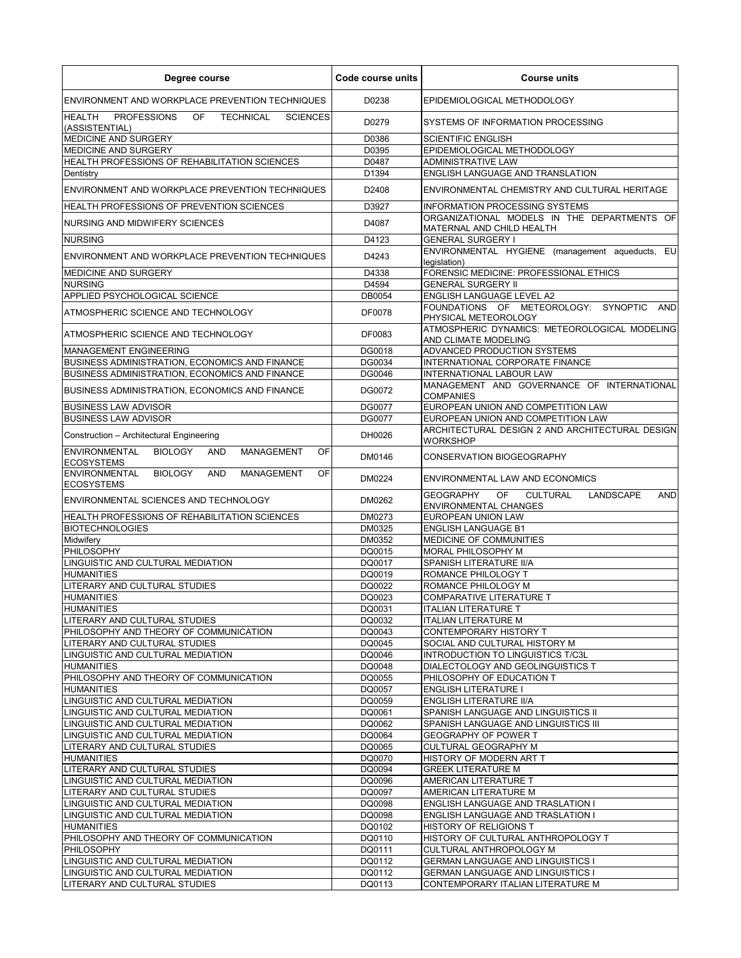| Degree course                                                                                        | Code course units | <b>Course units</b>                                                                                  |
|------------------------------------------------------------------------------------------------------|-------------------|------------------------------------------------------------------------------------------------------|
| ENVIRONMENT AND WORKPLACE PREVENTION TECHNIQUES                                                      | D0238             | EPIDEMIOLOGICAL METHODOLOGY                                                                          |
| <b>HEALTH</b><br><b>PROFESSIONS</b><br>OF<br><b>TECHNICAL</b><br><b>SCIENCES</b><br>(ASSISTENTIAL)   | D0279             | SYSTEMS OF INFORMATION PROCESSING                                                                    |
| MEDICINE AND SURGERY                                                                                 | D0386             | <b>SCIENTIFIC ENGLISH</b>                                                                            |
| <b>MEDICINE AND SURGERY</b>                                                                          | D0395             | EPIDEMIOLOGICAL METHODOLOGY                                                                          |
| HEALTH PROFESSIONS OF REHABILITATION SCIENCES                                                        | D0487             | <b>ADMINISTRATIVE LAW</b>                                                                            |
| Dentistry                                                                                            | D1394             | ENGLISH LANGUAGE AND TRANSLATION                                                                     |
| ENVIRONMENT AND WORKPLACE PREVENTION TECHNIQUES                                                      | D2408             | ENVIRONMENTAL CHEMISTRY AND CULTURAL HERITAGE                                                        |
| <b>HEALTH PROFESSIONS OF PREVENTION SCIENCES</b>                                                     | D3927             | INFORMATION PROCESSING SYSTEMS                                                                       |
| NURSING AND MIDWIFERY SCIENCES                                                                       | D4087             | ORGANIZATIONAL MODELS IN THE DEPARTMENTS OF<br>MATERNAL AND CHILD HEALTH                             |
| <b>NURSING</b>                                                                                       | D4123             | <b>GENERAL SURGERY I</b>                                                                             |
| <b>ENVIRONMENT AND WORKPLACE PREVENTION TECHNIQUES</b>                                               | D4243             | ENVIRONMENTAL HYGIENE (management aqueducts, EU<br>legislation)                                      |
| MEDICINE AND SURGERY                                                                                 | D4338             | FORENSIC MEDICINE: PROFESSIONAL ETHICS                                                               |
| <b>NURSING</b>                                                                                       | D4594             | <b>GENERAL SURGERY II</b>                                                                            |
| APPLIED PSYCHOLOGICAL SCIENCE                                                                        | DB0054            | <b>ENGLISH LANGUAGE LEVEL A2</b>                                                                     |
| ATMOSPHERIC SCIENCE AND TECHNOLOGY                                                                   | <b>DF0078</b>     | FOUNDATIONS OF METEOROLOGY: SYNOPTIC<br>AND<br>PHYSICAL METEOROLOGY                                  |
| ATMOSPHERIC SCIENCE AND TECHNOLOGY                                                                   | DF0083            | ATMOSPHERIC DYNAMICS: METEOROLOGICAL MODELING<br>AND CLIMATE MODELING                                |
| <b>MANAGEMENT ENGINEERING</b>                                                                        | DG0018            | ADVANCED PRODUCTION SYSTEMS                                                                          |
| BUSINESS ADMINISTRATION, ECONOMICS AND FINANCE                                                       | DG0034            | INTERNATIONAL CORPORATE FINANCE                                                                      |
| BUSINESS ADMINISTRATION, ECONOMICS AND FINANCE                                                       | DG0046            | INTERNATIONAL LABOUR LAW                                                                             |
| BUSINESS ADMINISTRATION, ECONOMICS AND FINANCE                                                       | DG0072            | MANAGEMENT AND GOVERNANCE OF INTERNATIONAL<br><b>COMPANIES</b>                                       |
| <b>BUSINESS LAW ADVISOR</b>                                                                          | DG0077            | EUROPEAN UNION AND COMPETITION LAW                                                                   |
| <b>BUSINESS LAW ADVISOR</b>                                                                          | <b>DG0077</b>     | EUROPEAN UNION AND COMPETITION LAW                                                                   |
| Construction - Architectural Engineering                                                             | DH0026            | ARCHITECTURAL DESIGN 2 AND ARCHITECTURAL DESIGN<br>WORKSHOP                                          |
| <b>ENVIRONMENTAL</b><br><b>BIOLOGY</b><br><b>AND</b><br><b>MANAGEMENT</b><br>OF<br><b>ECOSYSTEMS</b> | DM0146            | <b>CONSERVATION BIOGEOGRAPHY</b>                                                                     |
| <b>ENVIRONMENTAL</b><br><b>BIOLOGY</b><br>AND<br><b>MANAGEMENT</b><br>OF<br><b>ECOSYSTEMS</b>        | DM0224            | ENVIRONMENTAL LAW AND ECONOMICS                                                                      |
| ENVIRONMENTAL SCIENCES AND TECHNOLOGY                                                                | DM0262            | <b>GEOGRAPHY</b><br>OF<br><b>CULTURAL</b><br><b>LANDSCAPE</b><br><b>AND</b><br>ENVIRONMENTAL CHANGES |
| HEALTH PROFESSIONS OF REHABILITATION SCIENCES                                                        | DM0273            | <b>EUROPEAN UNION LAW</b>                                                                            |
| <b>BIOTECHNOLOGIES</b>                                                                               | DM0325            | <b>ENGLISH LANGUAGE B1</b>                                                                           |
| Midwifery                                                                                            | DM0352            | MEDICINE OF COMMUNITIES                                                                              |
| PHILOSOPHY                                                                                           | DQ0015            | MORAL PHILOSOPHY M                                                                                   |
| LINGUISTIC AND CULTURAL MEDIATION                                                                    | DQ0017            | SPANISH LITERATURE II/A                                                                              |
| <b>HUMANITIES</b>                                                                                    | DQ0019            | ROMANCE PHILOLOGY T                                                                                  |
| LITERARY AND CULTURAL STUDIES                                                                        | DQ0022            | ROMANCE PHILOLOGY M                                                                                  |
| <b>HUMANITIES</b><br><b>HUMANITIES</b>                                                               | DQ0023<br>DQ0031  | <b>COMPARATIVE LITERATURE T</b><br><b>ITALIAN LITERATURE T</b>                                       |
| LITERARY AND CULTURAL STUDIES                                                                        | DQ0032            | ITALIAN LITERATURE M                                                                                 |
| PHILOSOPHY AND THEORY OF COMMUNICATION                                                               | DQ0043            | CONTEMPORARY HISTORY T                                                                               |
| LITERARY AND CULTURAL STUDIES                                                                        | DQ0045            | SOCIAL AND CULTURAL HISTORY M                                                                        |
| LINGUISTIC AND CULTURAL MEDIATION                                                                    | DQ0046            | INTRODUCTION TO LINGUISTICS T/C3L                                                                    |
| <b>HUMANITIES</b>                                                                                    | DQ0048            | DIALECTOLOGY AND GEOLINGUISTICS T                                                                    |
| PHILOSOPHY AND THEORY OF COMMUNICATION                                                               | DQ0055            | PHILOSOPHY OF EDUCATION T                                                                            |
| <b>HUMANITIES</b>                                                                                    | DQ0057            | <b>ENGLISH LITERATURE I</b>                                                                          |
| LINGUISTIC AND CULTURAL MEDIATION                                                                    | DQ0059            | ENGLISH LITERATURE II/A                                                                              |
| LINGUISTIC AND CULTURAL MEDIATION                                                                    | DQ0061            | SPANISH LANGUAGE AND LINGUISTICS II                                                                  |
| LINGUISTIC AND CULTURAL MEDIATION                                                                    | DQ0062            | SPANISH LANGUAGE AND LINGUISTICS III                                                                 |
| LINGUISTIC AND CULTURAL MEDIATION<br>LITERARY AND CULTURAL STUDIES                                   | DQ0064<br>DQ0065  | <b>GEOGRAPHY OF POWER T</b><br>CULTURAL GEOGRAPHY M                                                  |
| <b>HUMANITIES</b>                                                                                    | DQ0070            | HISTORY OF MODERN ART T                                                                              |
| LITERARY AND CULTURAL STUDIES                                                                        | DQ0094            | <b>GREEK LITERATURE M</b>                                                                            |
| LINGUISTIC AND CULTURAL MEDIATION                                                                    | DQ0096            | AMERICAN LITERATURE T                                                                                |
| LITERARY AND CULTURAL STUDIES                                                                        | DQ0097            | AMERICAN LITERATURE M                                                                                |
| LINGUISTIC AND CULTURAL MEDIATION                                                                    | DQ0098            | ENGLISH LANGUAGE AND TRASLATION I                                                                    |
| LINGUISTIC AND CULTURAL MEDIATION                                                                    | DQ0098            | ENGLISH LANGUAGE AND TRASLATION I                                                                    |
| <b>HUMANITIES</b>                                                                                    | DQ0102            | HISTORY OF RELIGIONS T                                                                               |
| PHILOSOPHY AND THEORY OF COMMUNICATION                                                               | DQ0110            | HISTORY OF CULTURAL ANTHROPOLOGY T                                                                   |
| <b>PHILOSOPHY</b>                                                                                    | DQ0111            | CULTURAL ANTHROPOLOGY M                                                                              |
| LINGUISTIC AND CULTURAL MEDIATION                                                                    | DQ0112            | <b>GERMAN LANGUAGE AND LINGUISTICS I</b>                                                             |
| LINGUISTIC AND CULTURAL MEDIATION<br>LITERARY AND CULTURAL STUDIES                                   | DQ0112<br>DQ0113  | <b>GERMAN LANGUAGE AND LINGUISTICS I</b><br>CONTEMPORARY ITALIAN LITERATURE M                        |
|                                                                                                      |                   |                                                                                                      |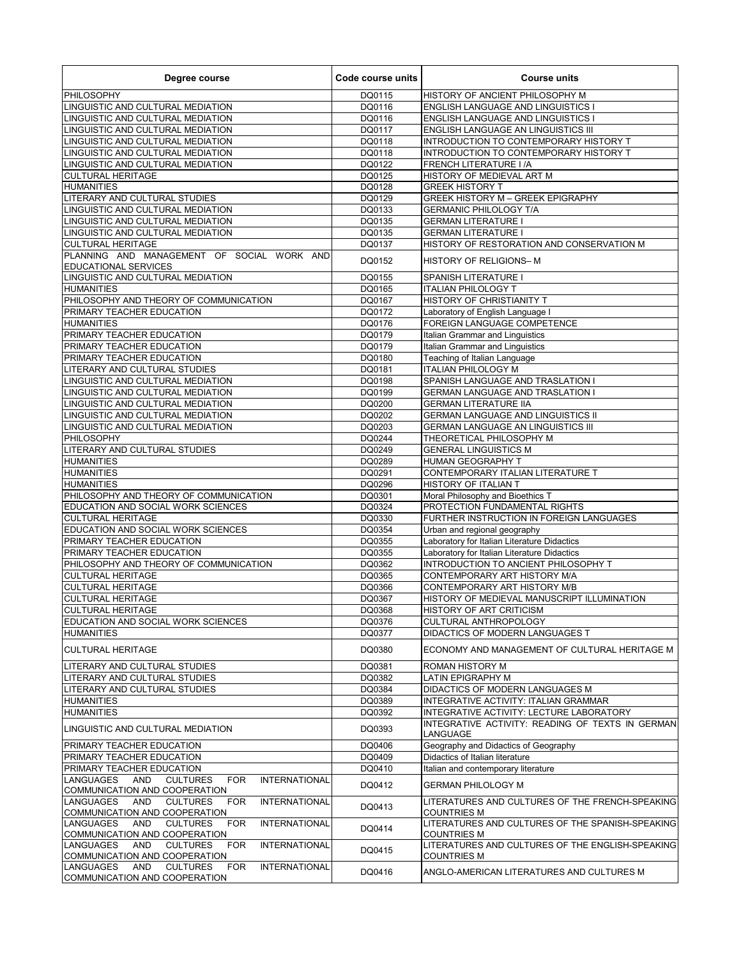| Degree course                                                                                                                                             | Code course units | <b>Course units</b>                                                                          |
|-----------------------------------------------------------------------------------------------------------------------------------------------------------|-------------------|----------------------------------------------------------------------------------------------|
| PHILOSOPHY                                                                                                                                                | DQ0115            | HISTORY OF ANCIENT PHILOSOPHY M                                                              |
| LINGUISTIC AND CULTURAL MEDIATION                                                                                                                         | DQ0116            | <b>ENGLISH LANGUAGE AND LINGUISTICS I</b>                                                    |
| LINGUISTIC AND CULTURAL MEDIATION                                                                                                                         | DQ0116            | <b>ENGLISH LANGUAGE AND LINGUISTICS I</b>                                                    |
| LINGUISTIC AND CULTURAL MEDIATION<br>LINGUISTIC AND CULTURAL MEDIATION                                                                                    | DQ0117<br>DQ0118  | <b>ENGLISH LANGUAGE AN LINGUISTICS III</b><br>INTRODUCTION TO CONTEMPORARY HISTORY T         |
| LINGUISTIC AND CULTURAL MEDIATION                                                                                                                         | DQ0118            | INTRODUCTION TO CONTEMPORARY HISTORY T                                                       |
| LINGUISTIC AND CULTURAL MEDIATION                                                                                                                         | DQ0122            | <b>FRENCH LITERATURE I/A</b>                                                                 |
| <b>CULTURAL HERITAGE</b>                                                                                                                                  | DQ0125            | HISTORY OF MEDIEVAL ART M                                                                    |
| <b>HUMANITIES</b>                                                                                                                                         | DQ0128            | <b>GREEK HISTORY T</b>                                                                       |
| LITERARY AND CULTURAL STUDIES                                                                                                                             | DQ0129            | <b>GREEK HISTORY M - GREEK EPIGRAPHY</b>                                                     |
| LINGUISTIC AND CULTURAL MEDIATION                                                                                                                         | DQ0133            | <b>GERMANIC PHILOLOGY T/A</b>                                                                |
| LINGUISTIC AND CULTURAL MEDIATION                                                                                                                         | DQ0135            | <b>GERMAN LITERATURE I</b>                                                                   |
| LINGUISTIC AND CULTURAL MEDIATION<br><b>CULTURAL HERITAGE</b>                                                                                             | DQ0135<br>DQ0137  | <b>GERMAN LITERATURE I</b><br>HISTORY OF RESTORATION AND CONSERVATION M                      |
| PLANNING AND MANAGEMENT OF SOCIAL WORK AND                                                                                                                |                   |                                                                                              |
| <b>EDUCATIONAL SERVICES</b>                                                                                                                               | DQ0152            | HISTORY OF RELIGIONS-M                                                                       |
| LINGUISTIC AND CULTURAL MEDIATION                                                                                                                         | DQ0155            | SPANISH LITERATURE I                                                                         |
| <b>HUMANITIES</b>                                                                                                                                         | DQ0165            | <b>ITALIAN PHILOLOGY T</b>                                                                   |
| PHILOSOPHY AND THEORY OF COMMUNICATION                                                                                                                    | DQ0167            | HISTORY OF CHRISTIANITY T                                                                    |
| PRIMARY TEACHER EDUCATION                                                                                                                                 | DQ0172            | Laboratory of English Language I                                                             |
| <b>HUMANITIES</b>                                                                                                                                         | DQ0176            | FOREIGN LANGUAGE COMPETENCE                                                                  |
| PRIMARY TEACHER EDUCATION<br>PRIMARY TEACHER EDUCATION                                                                                                    | DQ0179<br>DQ0179  | Italian Grammar and Linguistics<br>Italian Grammar and Linguistics                           |
| PRIMARY TEACHER EDUCATION                                                                                                                                 | DQ0180            | Teaching of Italian Language                                                                 |
| LITERARY AND CULTURAL STUDIES                                                                                                                             | DQ0181            | <b>ITALIAN PHILOLOGY M</b>                                                                   |
| LINGUISTIC AND CULTURAL MEDIATION                                                                                                                         | DQ0198            | SPANISH LANGUAGE AND TRASLATION I                                                            |
| LINGUISTIC AND CULTURAL MEDIATION                                                                                                                         | DQ0199            | <b>GERMAN LANGUAGE AND TRASLATION I</b>                                                      |
| LINGUISTIC AND CULTURAL MEDIATION                                                                                                                         | DQ0200            | <b>GERMAN LITERATURE IIA</b>                                                                 |
| LINGUISTIC AND CULTURAL MEDIATION                                                                                                                         | DQ0202            | <b>GERMAN LANGUAGE AND LINGUISTICS II</b>                                                    |
| LINGUISTIC AND CULTURAL MEDIATION                                                                                                                         | DQ0203            | <b>GERMAN LANGUAGE AN LINGUISTICS III</b>                                                    |
| PHILOSOPHY                                                                                                                                                | DQ0244            | THEORETICAL PHILOSOPHY M                                                                     |
| LITERARY AND CULTURAL STUDIES<br><b>HUMANITIES</b>                                                                                                        | DQ0249<br>DQ0289  | <b>GENERAL LINGUISTICS M</b><br><b>HUMAN GEOGRAPHY T</b>                                     |
| <b>HUMANITIES</b>                                                                                                                                         | DQ0291            | CONTEMPORARY ITALIAN LITERATURE T                                                            |
| <b>HUMANITIES</b>                                                                                                                                         | DQ0296            | HISTORY OF ITALIAN T                                                                         |
| PHILOSOPHY AND THEORY OF COMMUNICATION                                                                                                                    | DQ0301            | Moral Philosophy and Bioethics T                                                             |
| EDUCATION AND SOCIAL WORK SCIENCES                                                                                                                        | DQ0324            | PROTECTION FUNDAMENTAL RIGHTS                                                                |
| <b>CULTURAL HERITAGE</b>                                                                                                                                  | DQ0330            | FURTHER INSTRUCTION IN FOREIGN LANGUAGES                                                     |
| EDUCATION AND SOCIAL WORK SCIENCES                                                                                                                        | DQ0354            | Urban and regional geography                                                                 |
| PRIMARY TEACHER EDUCATION                                                                                                                                 | DQ0355            | Laboratory for Italian Literature Didactics                                                  |
| PRIMARY TEACHER EDUCATION<br>PHILOSOPHY AND THEORY OF COMMUNICATION                                                                                       | DQ0355<br>DQ0362  | Laboratory for Italian Literature Didactics<br>INTRODUCTION TO ANCIENT PHILOSOPHY T          |
| <b>CULTURAL HERITAGE</b>                                                                                                                                  | DQ0365            | CONTEMPORARY ART HISTORY M/A                                                                 |
| <b>CULTURAL HERITAGE</b>                                                                                                                                  | DQ0366            | CONTEMPORARY ART HISTORY M/B                                                                 |
| <b>CULTURAL HERITAGE</b>                                                                                                                                  | DQ0367            | HISTORY OF MEDIEVAL MANUSCRIPT ILLUMINATION                                                  |
| <b>CULTURAL HERITAGE</b>                                                                                                                                  | DQ0368            | HISTORY OF ART CRITICISM                                                                     |
| EDUCATION AND SOCIAL WORK SCIENCES                                                                                                                        | DQ0376            | CULTURAL ANTHROPOLOGY                                                                        |
| <b>HUMANITIES</b>                                                                                                                                         | DQ0377            | DIDACTICS OF MODERN LANGUAGES T                                                              |
| <b>CULTURAL HERITAGE</b>                                                                                                                                  | DQ0380            | ECONOMY AND MANAGEMENT OF CULTURAL HERITAGE M                                                |
| LITERARY AND CULTURAL STUDIES                                                                                                                             | DQ0381            | <b>ROMAN HISTORY M</b>                                                                       |
| LITERARY AND CULTURAL STUDIES                                                                                                                             | DQ0382            | LATIN EPIGRAPHY M                                                                            |
| LITERARY AND CULTURAL STUDIES                                                                                                                             | DQ0384            | DIDACTICS OF MODERN LANGUAGES M                                                              |
| <b>HUMANITIES</b>                                                                                                                                         | DQ0389            | INTEGRATIVE ACTIVITY: ITALIAN GRAMMAR                                                        |
| <b>HUMANITIES</b><br>LINGUISTIC AND CULTURAL MEDIATION                                                                                                    | DQ0392<br>DQ0393  | INTEGRATIVE ACTIVITY: LECTURE LABORATORY<br>INTEGRATIVE ACTIVITY: READING OF TEXTS IN GERMAN |
| PRIMARY TEACHER EDUCATION                                                                                                                                 | DQ0406            | LANGUAGE<br>Geography and Didactics of Geography                                             |
| PRIMARY TEACHER EDUCATION                                                                                                                                 | DQ0409            | Didactics of Italian literature                                                              |
| PRIMARY TEACHER EDUCATION                                                                                                                                 | DQ0410            | Italian and contemporary literature                                                          |
| <b>LANGUAGES</b><br>AND<br><b>CULTURES</b><br><b>FOR</b><br><b>INTERNATIONAL</b><br>COMMUNICATION AND COOPERATION                                         | DQ0412            | <b>GERMAN PHILOLOGY M</b>                                                                    |
| <b>LANGUAGES</b><br><b>AND</b><br><b>CULTURES</b><br><b>INTERNATIONAL</b><br>FOR.                                                                         | DQ0413            | LITERATURES AND CULTURES OF THE FRENCH-SPEAKING                                              |
| COMMUNICATION AND COOPERATION<br><b>LANGUAGES</b><br><b>AND</b><br><b>CULTURES</b><br><b>INTERNATIONAL</b><br><b>FOR</b><br>COMMUNICATION AND COOPERATION | DQ0414            | <b>COUNTRIES M</b><br>LITERATURES AND CULTURES OF THE SPANISH-SPEAKING<br><b>COUNTRIES M</b> |
| <b>LANGUAGES</b><br>AND<br><b>CULTURES</b><br><b>FOR</b><br><b>INTERNATIONAL</b><br>COMMUNICATION AND COOPERATION                                         | DQ0415            | LITERATURES AND CULTURES OF THE ENGLISH-SPEAKING<br><b>COUNTRIES M</b>                       |
| <b>LANGUAGES</b><br><b>AND</b><br><b>CULTURES</b><br><b>INTERNATIONAL</b><br><b>FOR</b><br>COMMUNICATION AND COOPERATION                                  | DQ0416            | ANGLO-AMERICAN LITERATURES AND CULTURES M                                                    |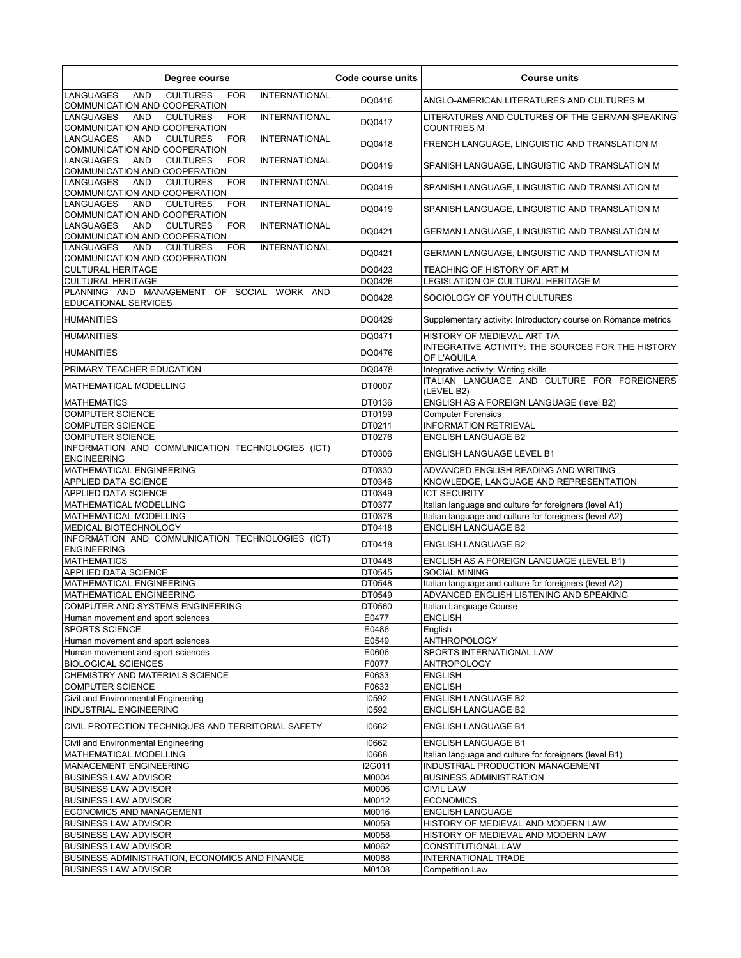| Degree course                                                                                                            | Code course units | <b>Course units</b>                                                   |
|--------------------------------------------------------------------------------------------------------------------------|-------------------|-----------------------------------------------------------------------|
| <b>LANGUAGES</b><br><b>CULTURES</b><br><b>INTERNATIONAL</b><br><b>AND</b><br><b>FOR</b><br>COMMUNICATION AND COOPERATION | DQ0416            | ANGLO-AMERICAN LITERATURES AND CULTURES M                             |
| <b>LANGUAGES</b><br><b>AND</b><br><b>CULTURES</b><br><b>FOR</b><br><b>INTERNATIONAL</b><br>COMMUNICATION AND COOPERATION | DQ0417            | LITERATURES AND CULTURES OF THE GERMAN-SPEAKING<br><b>COUNTRIES M</b> |
| AND<br><b>CULTURES</b><br><b>INTERNATIONAL</b><br>LANGUAGES<br><b>FOR</b><br>COMMUNICATION AND COOPERATION               | DQ0418            | FRENCH LANGUAGE, LINGUISTIC AND TRANSLATION M                         |
| <b>LANGUAGES</b><br>AND<br><b>CULTURES</b><br><b>INTERNATIONAL</b><br><b>FOR</b><br>COMMUNICATION AND COOPERATION        | DQ0419            | SPANISH LANGUAGE, LINGUISTIC AND TRANSLATION M                        |
| AND<br><b>CULTURES</b><br><b>INTERNATIONAL</b><br>LANGUAGES<br><b>FOR</b><br>COMMUNICATION AND COOPERATION               | DQ0419            | SPANISH LANGUAGE, LINGUISTIC AND TRANSLATION M                        |
| <b>LANGUAGES</b><br>AND<br><b>CULTURES</b><br><b>FOR</b><br><b>INTERNATIONAL</b><br>COMMUNICATION AND COOPERATION        | DQ0419            | SPANISH LANGUAGE, LINGUISTIC AND TRANSLATION M                        |
| AND<br><b>CULTURES</b><br><b>INTERNATIONAL</b><br>LANGUAGES<br><b>FOR</b><br>COMMUNICATION AND COOPERATION               | DQ0421            | GERMAN LANGUAGE, LINGUISTIC AND TRANSLATION M                         |
| <b>LANGUAGES</b><br>AND<br><b>CULTURES</b><br><b>FOR</b><br><b>INTERNATIONAL</b><br>COMMUNICATION AND COOPERATION        | DQ0421            | GERMAN LANGUAGE, LINGUISTIC AND TRANSLATION M                         |
| <b>CULTURAL HERITAGE</b>                                                                                                 | DQ0423            | TEACHING OF HISTORY OF ART M                                          |
| <b>CULTURAL HERITAGE</b>                                                                                                 | DQ0426            | LEGISLATION OF CULTURAL HERITAGE M                                    |
| PLANNING AND MANAGEMENT OF SOCIAL WORK AND<br>EDUCATIONAL SERVICES                                                       | DQ0428            | SOCIOLOGY OF YOUTH CULTURES                                           |
| <b>HUMANITIES</b>                                                                                                        | DQ0429            | Supplementary activity: Introductory course on Romance metrics        |
| <b>HUMANITIES</b>                                                                                                        | DQ0471            | HISTORY OF MEDIEVAL ART T/A                                           |
| <b>HUMANITIES</b>                                                                                                        | DQ0476            | INTEGRATIVE ACTIVITY: THE SOURCES FOR THE HISTORY<br>OF L'AQUILA      |
| PRIMARY TEACHER EDUCATION                                                                                                | DQ0478            | Integrative activity: Writing skills                                  |
| MATHEMATICAL MODELLING                                                                                                   | DT0007            | ITALIAN LANGUAGE AND CULTURE FOR FOREIGNERS<br>(LEVEL B2)             |
| <b>MATHEMATICS</b>                                                                                                       | DT0136            | ENGLISH AS A FOREIGN LANGUAGE (level B2)                              |
| <b>COMPUTER SCIENCE</b>                                                                                                  | DT0199            | <b>Computer Forensics</b>                                             |
| <b>COMPUTER SCIENCE</b>                                                                                                  | DT0211            | <b>INFORMATION RETRIEVAL</b>                                          |
| <b>COMPUTER SCIENCE</b>                                                                                                  | DT0276            | <b>ENGLISH LANGUAGE B2</b>                                            |
| INFORMATION AND COMMUNICATION TECHNOLOGIES (ICT)<br><b>ENGINEERING</b>                                                   | DT0306            | ENGLISH LANGUAGE LEVEL B1                                             |
| MATHEMATICAL ENGINEERING                                                                                                 | DT0330            | ADVANCED ENGLISH READING AND WRITING                                  |
| APPLIED DATA SCIENCE                                                                                                     | DT0346            | KNOWLEDGE, LANGUAGE AND REPRESENTATION                                |
| APPLIED DATA SCIENCE                                                                                                     | DT0349            | <b>ICT SECURITY</b>                                                   |
| MATHEMATICAL MODELLING                                                                                                   | DT0377            | Italian language and culture for foreigners (level A1)                |
| MATHEMATICAL MODELLING                                                                                                   | DT0378            | Italian language and culture for foreigners (level A2)                |
| MEDICAL BIOTECHNOLOGY                                                                                                    | DT0418            | <b>ENGLISH LANGUAGE B2</b>                                            |
| INFORMATION AND COMMUNICATION TECHNOLOGIES (ICT)<br><b>ENGINEERING</b>                                                   | DT0418            | <b>ENGLISH LANGUAGE B2</b>                                            |
| <b>MATHEMATICS</b>                                                                                                       | DT0448            | ENGLISH AS A FOREIGN LANGUAGE (LEVEL B1)                              |
| APPLIED DATA SCIENCE                                                                                                     | DT0545            | <b>SOCIAL MINING</b>                                                  |
| MATHEMATICAL ENGINEERING                                                                                                 | DT0548            | Italian language and culture for foreigners (level A2)                |
| MATHEMATICAL ENGINEERING                                                                                                 | DT0549            | ADVANCED ENGLISH LISTENING AND SPEAKING                               |
| COMPUTER AND SYSTEMS ENGINEERING                                                                                         | DT0560            | Italian Language Course                                               |
| Human movement and sport sciences                                                                                        | E0477             | <b>ENGLISH</b>                                                        |
| <b>SPORTS SCIENCE</b>                                                                                                    | E0486             | English                                                               |
| Human movement and sport sciences                                                                                        | E0549             | <b>ANTHROPOLOGY</b>                                                   |
| Human movement and sport sciences                                                                                        | E0606             | SPORTS INTERNATIONAL LAW                                              |
| <b>BIOLOGICAL SCIENCES</b>                                                                                               | F0077             | <b>ANTROPOLOGY</b>                                                    |
| CHEMISTRY AND MATERIALS SCIENCE                                                                                          | F0633             | <b>ENGLISH</b>                                                        |
| <b>COMPUTER SCIENCE</b>                                                                                                  | F0633             | <b>ENGLISH</b>                                                        |
| Civil and Environmental Engineering                                                                                      | 10592             | <b>ENGLISH LANGUAGE B2</b>                                            |
| <b>INDUSTRIAL ENGINEERING</b>                                                                                            | 10592             | <b>ENGLISH LANGUAGE B2</b>                                            |
| CIVIL PROTECTION TECHNIQUES AND TERRITORIAL SAFETY                                                                       | 10662             | <b>ENGLISH LANGUAGE B1</b>                                            |
| Civil and Environmental Engineering                                                                                      | 10662             | <b>ENGLISH LANGUAGE B1</b>                                            |
| MATHEMATICAL MODELLING                                                                                                   | 10668             | Italian language and culture for foreigners (level B1)                |
| MANAGEMENT ENGINEERING                                                                                                   | I2G011            | INDUSTRIAL PRODUCTION MANAGEMENT                                      |
| <b>BUSINESS LAW ADVISOR</b>                                                                                              | M0004             | <b>BUSINESS ADMINISTRATION</b>                                        |
| <b>BUSINESS LAW ADVISOR</b>                                                                                              | M0006             | <b>CIVIL LAW</b>                                                      |
| <b>BUSINESS LAW ADVISOR</b>                                                                                              | M0012             | <b>ECONOMICS</b>                                                      |
| ECONOMICS AND MANAGEMENT                                                                                                 | M0016             | <b>ENGLISH LANGUAGE</b>                                               |
| <b>BUSINESS LAW ADVISOR</b>                                                                                              | M0058             | HISTORY OF MEDIEVAL AND MODERN LAW                                    |
| <b>BUSINESS LAW ADVISOR</b>                                                                                              | M0058             | HISTORY OF MEDIEVAL AND MODERN LAW                                    |
| <b>BUSINESS LAW ADVISOR</b>                                                                                              | M0062             | CONSTITUTIONAL LAW                                                    |
| BUSINESS ADMINISTRATION, ECONOMICS AND FINANCE                                                                           | M0088             | INTERNATIONAL TRADE                                                   |
| <b>BUSINESS LAW ADVISOR</b>                                                                                              | M0108             | <b>Competition Law</b>                                                |